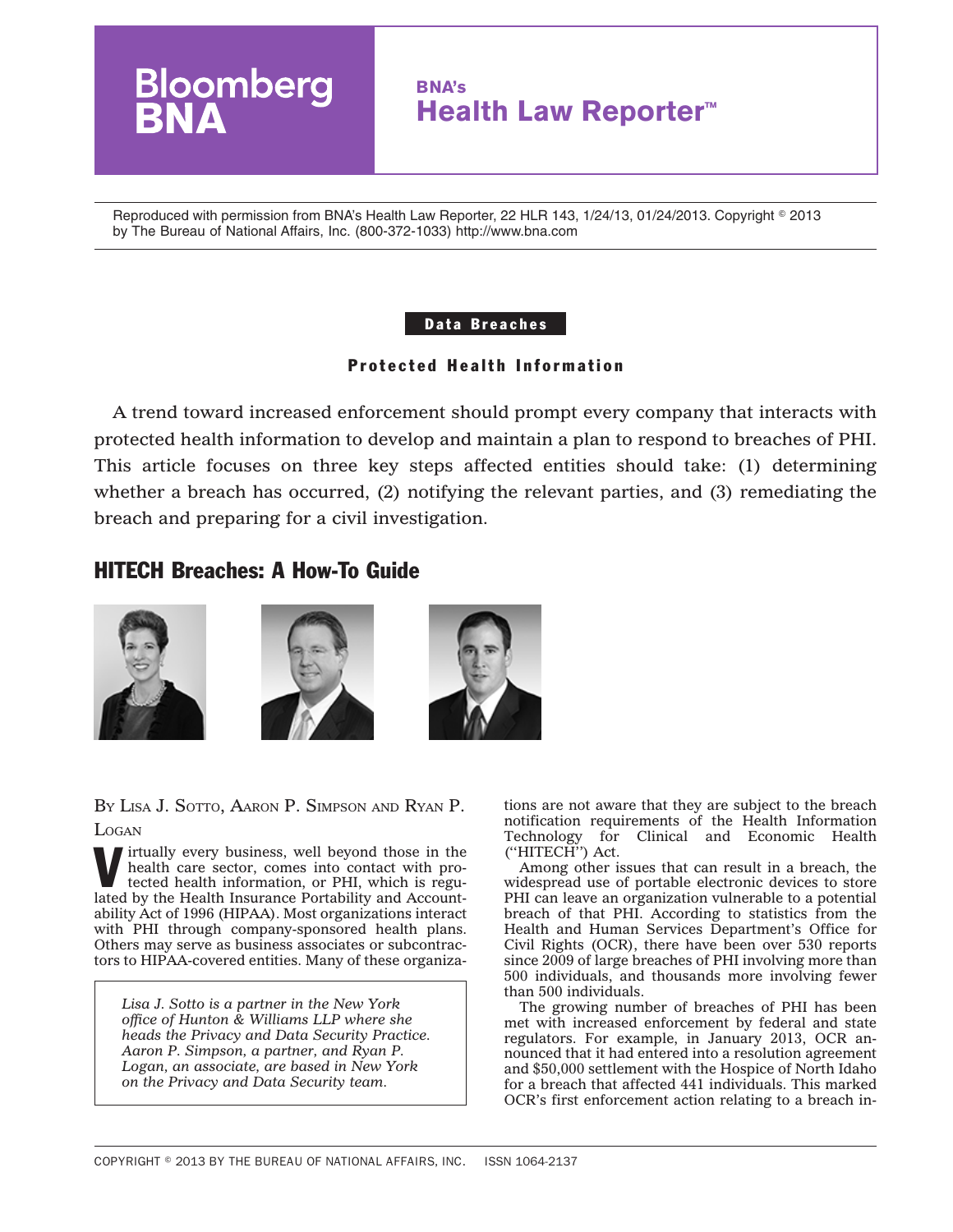

Reproduced with permission from BNA's Health Law Reporter, 22 HLR 143, 1/24/13, 01/24/2013. Copyright ◎ 2013 by The Bureau of National Affairs, Inc. (800-372-1033) http://www.bna.com

### Data Breaches

# Protected Health Information

A trend toward increased enforcement should prompt every company that interacts with protected health information to develop and maintain a plan to respond to breaches of PHI. This article focuses on three key steps affected entities should take: (1) determining whether a breach has occurred, (2) notifying the relevant parties, and (3) remediating the breach and preparing for a civil investigation.

# HITECH Breaches: A How-To Guide







BY LISA J. SOTTO, AARON P. SIMPSON AND RYAN P. **LOGAN** 

Virtually every business, well beyond those in the health care sector, comes into contact with protected health information, or PHI, which is regulated by the Uselth Incurrence of the Hilitary and Associated by the Uselth health care sector, comes into contact with protected health information, or PHI, which is regulated by the Health Insurance Portability and Accountability Act of 1996 (HIPAA). Most organizations interact with PHI through company-sponsored health plans. Others may serve as business associates or subcontractors to HIPAA-covered entities. Many of these organiza-

*Lisa J. Sotto is a partner in the New York office of Hunton & Williams LLP where she heads the Privacy and Data Security Practice. Aaron P. Simpson, a partner, and Ryan P. Logan, an associate, are based in New York on the Privacy and Data Security team.*

tions are not aware that they are subject to the breach notification requirements of the Health Information Technology for Clinical and Economic Health (''HITECH'') Act.

Among other issues that can result in a breach, the widespread use of portable electronic devices to store PHI can leave an organization vulnerable to a potential breach of that PHI. According to statistics from the Health and Human Services Department's Office for Civil Rights (OCR), there have been over 530 reports since 2009 of large breaches of PHI involving more than 500 individuals, and thousands more involving fewer than 500 individuals.

The growing number of breaches of PHI has been met with increased enforcement by federal and state regulators. For example, in January 2013, OCR announced that it had entered into a resolution agreement and \$50,000 settlement with the Hospice of North Idaho for a breach that affected 441 individuals. This marked OCR's first enforcement action relating to a breach in-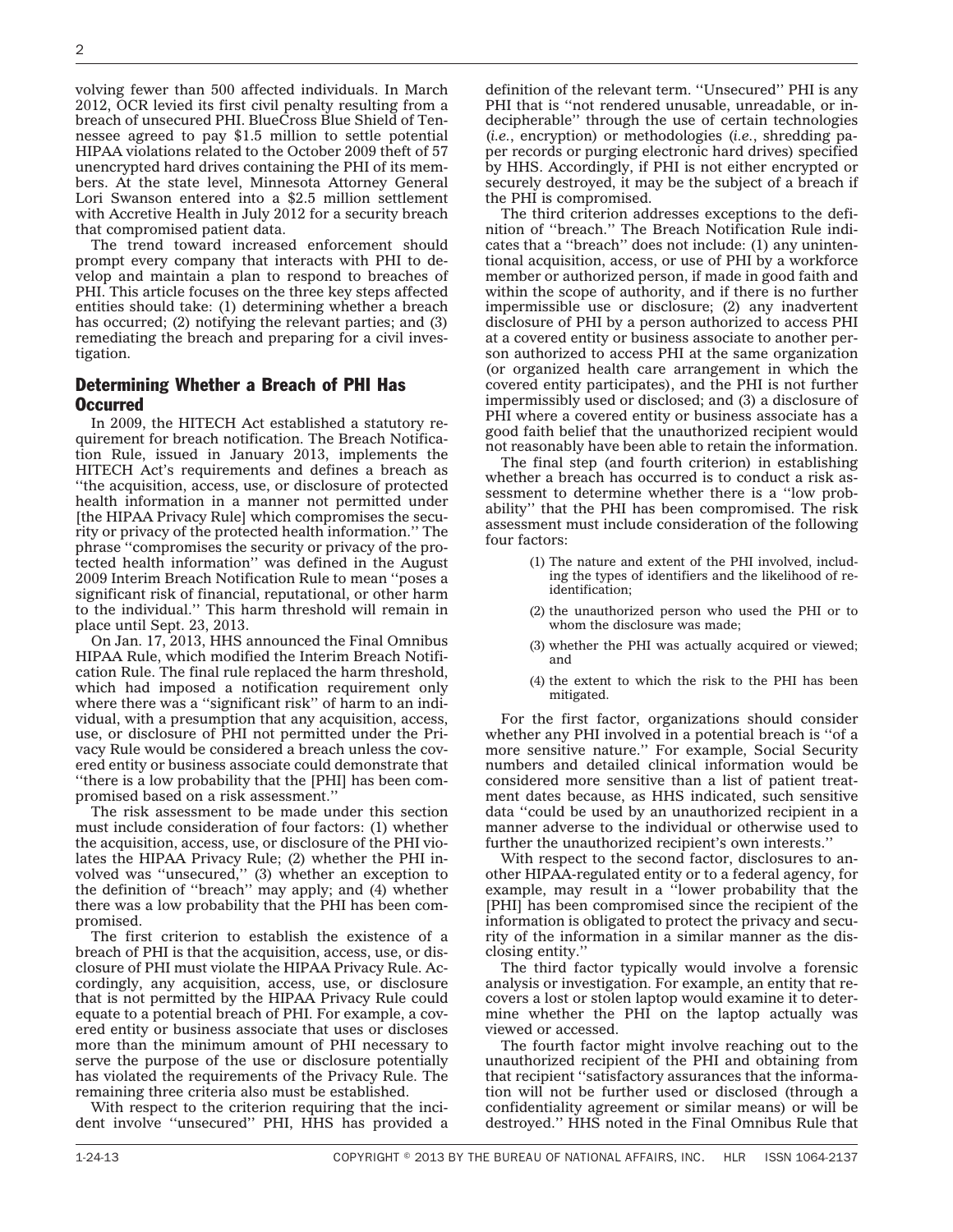volving fewer than 500 affected individuals. In March 2012, OCR levied its first civil penalty resulting from a breach of unsecured PHI. BlueCross Blue Shield of Tennessee agreed to pay \$1.5 million to settle potential HIPAA violations related to the October 2009 theft of 57 unencrypted hard drives containing the PHI of its members. At the state level, Minnesota Attorney General Lori Swanson entered into a \$2.5 million settlement with Accretive Health in July 2012 for a security breach that compromised patient data.

The trend toward increased enforcement should prompt every company that interacts with PHI to develop and maintain a plan to respond to breaches of PHI. This article focuses on the three key steps affected entities should take: (1) determining whether a breach has occurred; (2) notifying the relevant parties; and (3) remediating the breach and preparing for a civil investigation.

#### Determining Whether a Breach of PHI Has Occurred

In 2009, the HITECH Act established a statutory requirement for breach notification. The Breach Notification Rule, issued in January 2013, implements the HITECH Act's requirements and defines a breach as ''the acquisition, access, use, or disclosure of protected health information in a manner not permitted under [the HIPAA Privacy Rule] which compromises the security or privacy of the protected health information.'' The phrase ''compromises the security or privacy of the protected health information'' was defined in the August 2009 [Interim Breach Notification Rule](http://edocket.access.gpo.gov/2009/pdf/E9-20169.pdf) to mean ''poses a significant risk of financial, reputational, or other harm to the individual.'' This harm threshold will remain in place until Sept. 23, 2013.

On Jan. 17, 2013, HHS announced the [Final Omnibus](https://s3.amazonaws.com/public-inspection.federalregister.gov/2013-01073.pdf) [HIPAA Rule,](https://s3.amazonaws.com/public-inspection.federalregister.gov/2013-01073.pdf) which modified the Interim Breach Notification Rule. The final rule replaced the harm threshold, which had imposed a notification requirement only where there was a "significant risk" of harm to an individual, with a presumption that any acquisition, access, use, or disclosure of PHI not permitted under the Privacy Rule would be considered a breach unless the covered entity or business associate could demonstrate that ''there is a low probability that the [PHI] has been compromised based on a risk assessment.''

The risk assessment to be made under this section must include consideration of four factors: (1) whether the acquisition, access, use, or disclosure of the PHI violates the HIPAA Privacy Rule; (2) whether the PHI involved was ''unsecured,'' (3) whether an exception to the definition of ''breach'' may apply; and (4) whether there was a low probability that the PHI has been compromised.

The first criterion to establish the existence of a breach of PHI is that the acquisition, access, use, or disclosure of PHI must violate the HIPAA Privacy Rule. Accordingly, any acquisition, access, use, or disclosure that is not permitted by the HIPAA Privacy Rule could equate to a potential breach of PHI. For example, a covered entity or business associate that uses or discloses more than the minimum amount of PHI necessary to serve the purpose of the use or disclosure potentially has violated the requirements of the Privacy Rule. The remaining three criteria also must be established.

With respect to the criterion requiring that the incident involve ''unsecured'' PHI, HHS has provided a definition of the relevant term. ''Unsecured'' PHI is any PHI that is "not rendered unusable, unreadable, or indecipherable'' through the use of certain technologies (*i.e.*, encryption) or methodologies (*i.e.*, shredding paper records or purging electronic hard drives) specified by HHS. Accordingly, if PHI is not either encrypted or securely destroyed, it may be the subject of a breach if the PHI is compromised.

The third criterion addresses exceptions to the definition of ''breach.'' The Breach Notification Rule indicates that a ''breach'' does not include: (1) any unintentional acquisition, access, or use of PHI by a workforce member or authorized person, if made in good faith and within the scope of authority, and if there is no further impermissible use or disclosure; (2) any inadvertent disclosure of PHI by a person authorized to access PHI at a covered entity or business associate to another person authorized to access PHI at the same organization (or organized health care arrangement in which the covered entity participates), and the PHI is not further impermissibly used or disclosed; and (3) a disclosure of PHI where a covered entity or business associate has a good faith belief that the unauthorized recipient would not reasonably have been able to retain the information.

The final step (and fourth criterion) in establishing whether a breach has occurred is to conduct a risk assessment to determine whether there is a ''low probability'' that the PHI has been compromised. The risk assessment must include consideration of the following four factors:

- (1) The nature and extent of the PHI involved, including the types of identifiers and the likelihood of reidentification;
- (2) the unauthorized person who used the PHI or to whom the disclosure was made;
- (3) whether the PHI was actually acquired or viewed; and
- (4) the extent to which the risk to the PHI has been mitigated.

For the first factor, organizations should consider whether any PHI involved in a potential breach is ''of a more sensitive nature.'' For example, Social Security numbers and detailed clinical information would be considered more sensitive than a list of patient treatment dates because, as HHS indicated, such sensitive data ''could be used by an unauthorized recipient in a manner adverse to the individual or otherwise used to further the unauthorized recipient's own interests.''

With respect to the second factor, disclosures to another HIPAA-regulated entity or to a federal agency, for example, may result in a ''lower probability that the [PHI] has been compromised since the recipient of the information is obligated to protect the privacy and security of the information in a similar manner as the disclosing entity.''

The third factor typically would involve a forensic analysis or investigation. For example, an entity that recovers a lost or stolen laptop would examine it to determine whether the PHI on the laptop actually was viewed or accessed.

The fourth factor might involve reaching out to the unauthorized recipient of the PHI and obtaining from that recipient ''satisfactory assurances that the information will not be further used or disclosed (through a confidentiality agreement or similar means) or will be destroyed.'' HHS noted in the Final Omnibus Rule that